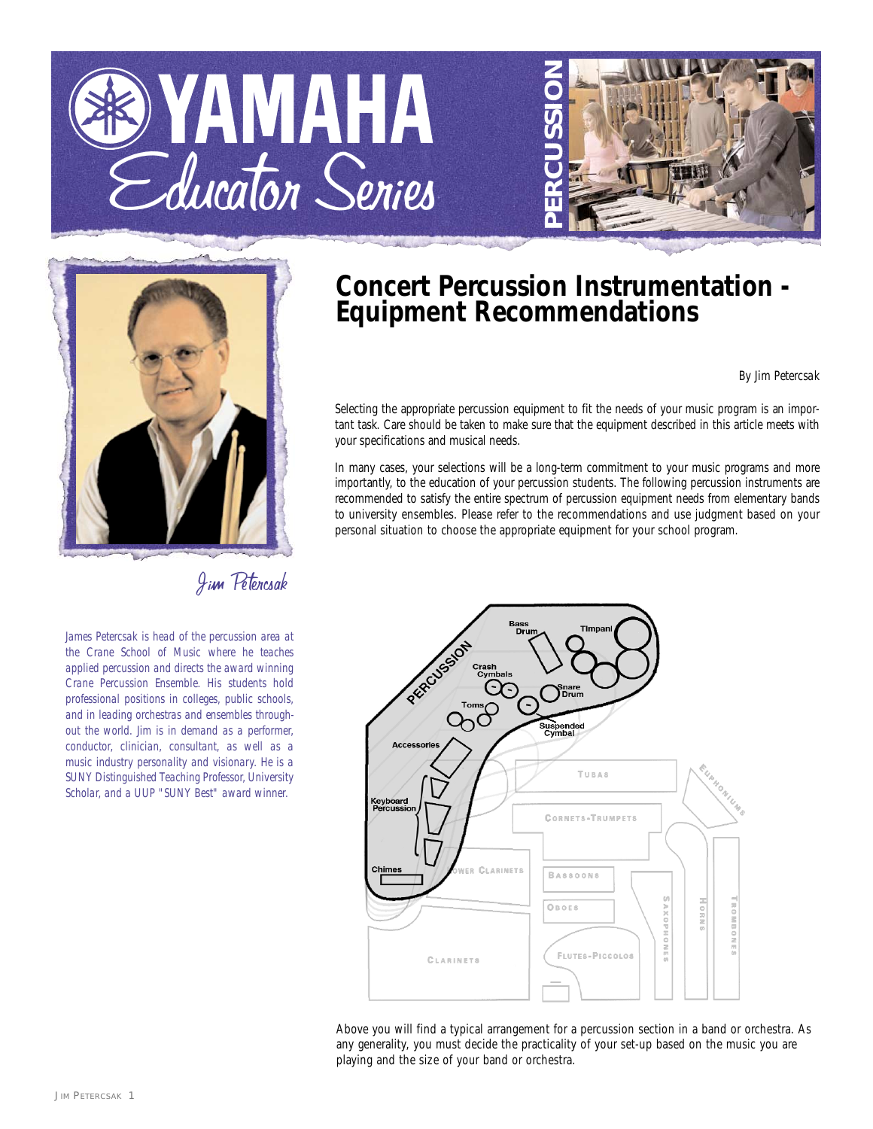





Jim Petercsak

*James Petercsak is head of the percussion area at the Crane School of Music where he teaches applied percussion and directs the award winning Crane Percussion Ensemble. His students hold professional positions in colleges, public schools, and in leading orchestras and ensembles throughout the world. Jim is in demand as a performer, conductor, clinician, consultant, as well as a music industry personality and visionary. He is a SUNY Distinguished Teaching Professor, University Scholar, and a UUP "SUNY Best" award winner.*

## **Concert Percussion Instrumentation - Equipment Recommendations**

## *By Jim Petercsak*

Selecting the appropriate percussion equipment to fit the needs of your music program is an important task. Care should be taken to make sure that the equipment described in this article meets with your specifications and musical needs.

In many cases, your selections will be a long-term commitment to your music programs and more importantly, to the education of your percussion students. The following percussion instruments are recommended to satisfy the entire spectrum of percussion equipment needs from elementary bands to university ensembles. Please refer to the recommendations and use judgment based on your personal situation to choose the appropriate equipment for your school program.



Above you will find a typical arrangement for a percussion section in a band or orchestra. As any generality, you must decide the practicality of your set-up based on the music you are playing and the size of your band or orchestra.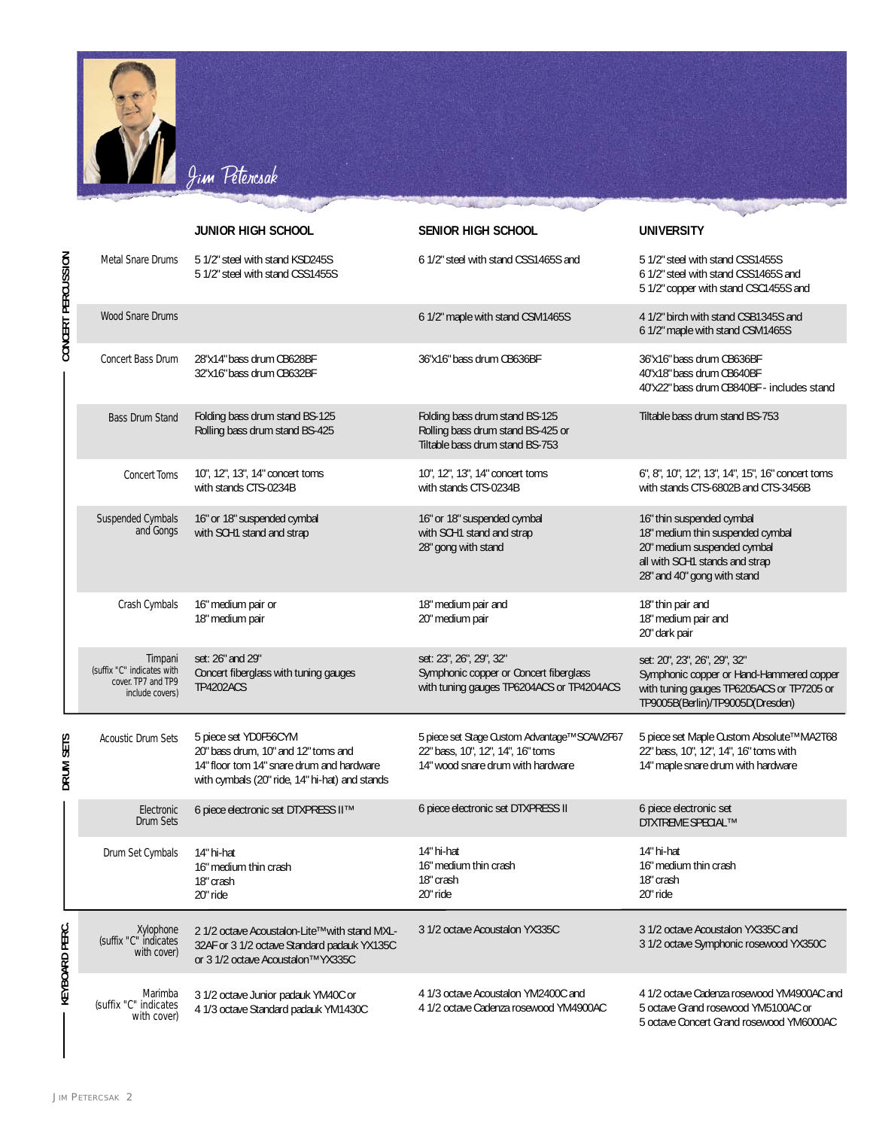

|                    |                                                                                | <b>JUNIOR HIGH SCHOOL</b>                                                                                                                                   | SENIOR HIGH SCHOOL                                                                                                     | <b>UNIVERSITY</b>                                                                                                                                             |
|--------------------|--------------------------------------------------------------------------------|-------------------------------------------------------------------------------------------------------------------------------------------------------------|------------------------------------------------------------------------------------------------------------------------|---------------------------------------------------------------------------------------------------------------------------------------------------------------|
| CONCERT PERCUSSION | Metal Snare Drums                                                              | 5 1/2" steel with stand KSD245S<br>51/2" steel with stand CSS1455S                                                                                          | 6 1/2" steel with stand CSS1465S and                                                                                   | 5 1/2" steel with stand CSS1455S<br>6 1/2" steel with stand CSS1465S and<br>5 1/2" copper with stand CSC1455S and                                             |
|                    | <b>Wood Snare Drums</b>                                                        |                                                                                                                                                             | 6 1/2" maple with stand CSM1465S                                                                                       | 4 1/2" birch with stand CSB1345S and<br>6 1/2" maple with stand CSM1465S                                                                                      |
|                    | Concert Bass Drum                                                              | 28"x14" bass drum CB628BF<br>32"x16" bass drum CB632BF                                                                                                      | 36"x16" bass drum CB636BF                                                                                              | 36"x16" bass drum CB636BF<br>40"x18" bass drum CB640BF<br>40"x22" bass drum CB840BF - includes stand                                                          |
|                    | <b>Bass Drum Stand</b>                                                         | Folding bass drum stand BS-125<br>Rolling bass drum stand BS-425                                                                                            | Folding bass drum stand BS-125<br>Rolling bass drum stand BS-425 or<br>Tiltable bass drum stand BS-753                 | Tiltable bass drum stand BS-753                                                                                                                               |
|                    | <b>Concert Toms</b>                                                            | 10", 12", 13", 14" concert toms<br>with stands CTS-0234B                                                                                                    | 10", 12", 13", 14" concert toms<br>with stands CTS-0234B                                                               | 6", 8", 10", 12", 13", 14", 15", 16" concert toms<br>with stands CTS-6802B and CTS-3456B                                                                      |
|                    | Suspended Cymbals<br>and Gongs                                                 | 16" or 18" suspended cymbal<br>with SCH1 stand and strap                                                                                                    | 16" or 18" suspended cymbal<br>with SCH1 stand and strap<br>28" gong with stand                                        | 16" thin suspended cymbal<br>18" medium thin suspended cymbal<br>20" medium suspended cymbal<br>all with SCH1 stands and strap<br>28" and 40" gong with stand |
|                    | Crash Cymbals                                                                  | 16" medium pair or<br>18" medium pair                                                                                                                       | 18" medium pair and<br>20" medium pair                                                                                 | 18" thin pair and<br>18" medium pair and<br>20" dark pair                                                                                                     |
|                    | Timpani<br>(suffix "C" indicates with<br>cover. TP7 and TP9<br>include covers) | set: 26" and 29"<br>Concert fiberglass with tuning gauges<br><b>TP4202ACS</b>                                                                               | set: 23", 26", 29", 32"<br>Symphonic copper or Concert fiberglass<br>with tuning gauges TP6204ACS or TP4204ACS         | set: 20", 23", 26", 29", 32"<br>Symphonic copper or Hand-Hammered copper<br>with tuning gauges TP6205ACS or TP7205 or<br>TP9005B(Berlin)/TP9005D(Dresden)     |
| DRUM SETS          | <b>Acoustic Drum Sets</b>                                                      | 5 piece set YD0F56CYM<br>20" bass drum, 10" and 12" toms and<br>14" floor tom 14" snare drum and hardware<br>with cymbals (20" ride, 14" hi-hat) and stands | 5 piece set Stage Custom Advantage™ SCAW2F67<br>22" bass, 10", 12", 14", 16" toms<br>14" wood snare drum with hardware | 5 piece set Maple Custom Absolute™ MA2T68<br>22" bass, 10", 12", 14", 16" toms with<br>14" maple snare drum with hardware                                     |
|                    | Electronic<br>Drum Sets                                                        | 6 piece electronic set DTXPRESS II™                                                                                                                         | 6 piece electronic set DTXPRESS II                                                                                     | 6 piece electronic set<br><b>DTXTREME SPECIAL™</b>                                                                                                            |
|                    | Drum Set Cymbals                                                               | 14" hi-hat<br>16" medium thin crash<br>18" crash<br>20" ride                                                                                                | 14" hi-hat<br>16" medium thin crash<br>18" crash<br>20" ride                                                           | 14" hi-hat<br>16" medium thin crash<br>18" crash<br>20" ride                                                                                                  |
| KEYBOARD PERC.     | Xylophone<br>suffix "C" indicates<br>with cover)                               | 2 1/2 octave Acoustalon-Lite™ with stand MXL-<br>32AF or 3 1/2 octave Standard padauk YX135C<br>or 3 1/2 octave Acoustalon™ YX335C                          | 3 1/2 octave Acoustalon YX335C                                                                                         | 3 1/2 octave Acoustalon YX335C and<br>3 1/2 octave Symphonic rosewood YX350C                                                                                  |
|                    | Marimba<br>(suffix "C" indicates<br>with cover)                                | 3 1/2 octave Junior padauk YM40C or<br>4 1/3 octave Standard padauk YM1430C                                                                                 | 4 1/3 octave Acoustalon YM2400C and<br>4 1/2 octave Cadenza rosewood YM4900AC                                          | 4 1/2 octave Cadenza rosewood YM4900AC and<br>5 octave Grand rosewood YM5100AC or<br>5 octave Concert Grand rosewood YM6000AC                                 |

**JIM PETERCSAK 2**